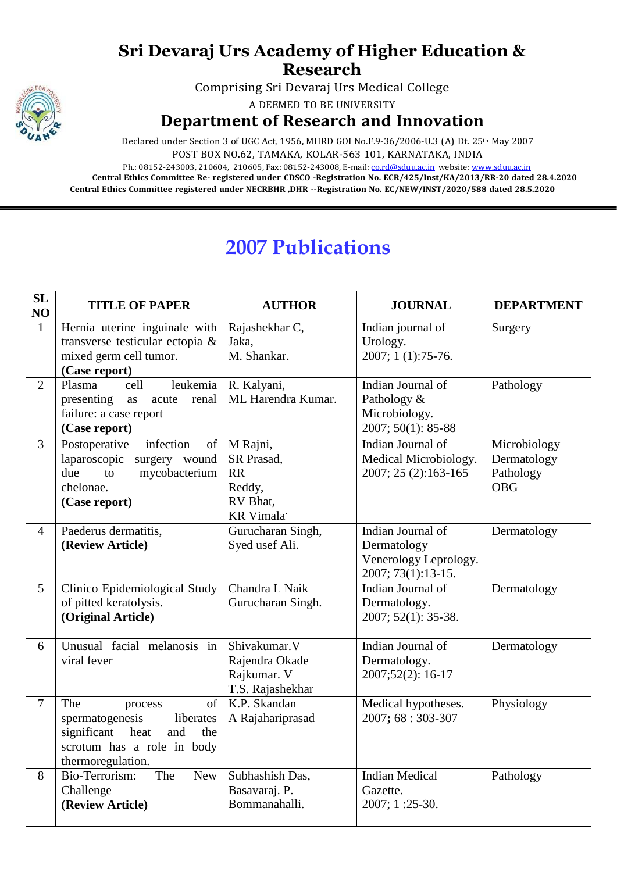## **Sri Devaraj Urs Academy of Higher Education & Research**

Comprising Sri Devaraj Urs Medical College

A DEEMED TO BE UNIVERSITY

## **Department of Research and Innovation**

Declared under Section 3 of UGC Act, 1956, MHRD GOI No.F.9-36/2006-U.3 (A) Dt. 25<sup>th</sup> May 2007 POST BOX NO.62, TAMAKA, KOLAR-563 101, KARNATAKA, INDIA

Ph.: 08152-243003, 210604, 210605, Fax: 08152-243008, E-mail: [co.rd@sduu.ac.in](mailto:co.rd@sduu.ac.in) website: [www.sduu.ac.in](http://www.sduu.ac.in/) **Central Ethics Committee Re- registered under CDSCO -Registration No. ECR/425/Inst/KA/2013/RR-20 dated 28.4.2020 Central Ethics Committee registered under NECRBHR ,DHR --Registration No. EC/NEW/INST/2020/588 dated 28.5.2020**

## **2007 Publications**

| <b>SL</b><br>NO | <b>TITLE OF PAPER</b>                                                                                                                        | <b>AUTHOR</b>                                                          | <b>JOURNAL</b>                                                                  | <b>DEPARTMENT</b>                                      |
|-----------------|----------------------------------------------------------------------------------------------------------------------------------------------|------------------------------------------------------------------------|---------------------------------------------------------------------------------|--------------------------------------------------------|
| $\mathbf{1}$    | Hernia uterine inguinale with<br>transverse testicular ectopia &<br>mixed germ cell tumor.<br>(Case report)                                  | Rajashekhar C,<br>Jaka,<br>M. Shankar.                                 | Indian journal of<br>Urology.<br>2007; 1 (1):75-76.                             | Surgery                                                |
| $\overline{2}$  | Plasma<br>leukemia<br>cell<br>presenting<br>acute<br>renal<br>as<br>failure: a case report<br>(Case report)                                  | R. Kalyani,<br>ML Harendra Kumar.                                      | Indian Journal of<br>Pathology &<br>Microbiology.<br>2007; 50(1): 85-88         | Pathology                                              |
| $\overline{3}$  | Postoperative<br>infection<br>of<br>laparoscopic<br>surgery wound<br>mycobacterium<br>due<br>to<br>chelonae.<br>(Case report)                | M Rajni,<br>SR Prasad,<br>RR<br>Reddy,<br>RV Bhat,<br><b>KR</b> Vimala | Indian Journal of<br>Medical Microbiology.<br>2007; 25 (2):163-165              | Microbiology<br>Dermatology<br>Pathology<br><b>OBG</b> |
| $\overline{4}$  | Paederus dermatitis,<br>(Review Article)                                                                                                     | Gurucharan Singh,<br>Syed usef Ali.                                    | Indian Journal of<br>Dermatology<br>Venerology Leprology.<br>2007; 73(1):13-15. | Dermatology                                            |
| 5               | Clinico Epidemiological Study<br>of pitted keratolysis.<br>(Original Article)                                                                | Chandra L Naik<br>Gurucharan Singh.                                    | Indian Journal of<br>Dermatology.<br>2007; 52(1): 35-38.                        | Dermatology                                            |
| 6               | Unusual facial melanosis in<br>viral fever                                                                                                   | Shivakumar.V<br>Rajendra Okade<br>Rajkumar. V<br>T.S. Rajashekhar      | Indian Journal of<br>Dermatology.<br>2007;52(2): 16-17                          | Dermatology                                            |
| $\tau$          | of<br>The<br>process<br>spermatogenesis<br>liberates<br>significant<br>heat<br>and<br>the<br>scrotum has a role in body<br>thermoregulation. | K.P. Skandan<br>A Rajahariprasad                                       | Medical hypotheses.<br>2007; 68: 303-307                                        | Physiology                                             |
| 8               | Bio-Terrorism:<br>The<br>New<br>Challenge<br>(Review Article)                                                                                | Subhashish Das,<br>Basavaraj. P.<br>Bommanahalli.                      | <b>Indian Medical</b><br>Gazette.<br>2007; 1:25-30.                             | Pathology                                              |

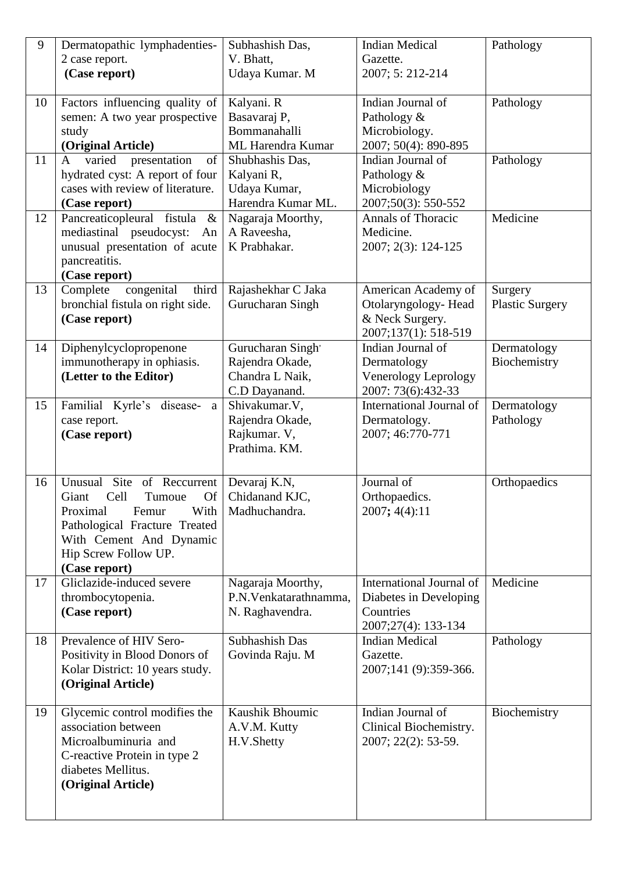| 9  | Dermatopathic lymphadenties-               | Subhashish Das,                             | <b>Indian Medical</b>               | Pathology              |
|----|--------------------------------------------|---------------------------------------------|-------------------------------------|------------------------|
|    | 2 case report.                             | V. Bhatt,                                   | Gazette.                            |                        |
|    | (Case report)                              | Udaya Kumar. M                              | 2007; 5: 212-214                    |                        |
|    |                                            |                                             |                                     |                        |
| 10 | Factors influencing quality of             | Kalyani. R                                  | Indian Journal of                   | Pathology              |
|    | semen: A two year prospective              | Basavaraj P,                                | Pathology &                         |                        |
|    | study                                      | Bommanahalli                                | Microbiology.                       |                        |
|    | (Original Article)                         | ML Harendra Kumar                           | 2007; 50(4): 890-895                |                        |
| 11 | varied<br>presentation<br>of<br>A          | Shubhashis Das,                             | Indian Journal of                   | Pathology              |
|    | hydrated cyst: A report of four            | Kalyani R,                                  | Pathology &                         |                        |
|    | cases with review of literature.           | Udaya Kumar,                                | Microbiology                        |                        |
|    | (Case report)                              | Harendra Kumar ML.                          | 2007;50(3): 550-552                 |                        |
| 12 | Pancreaticopleural fistula<br>$\&$         | Nagaraja Moorthy,                           | <b>Annals of Thoracic</b>           | Medicine               |
|    | mediastinal pseudocyst:<br>An              | A Raveesha,                                 | Medicine.                           |                        |
|    | unusual presentation of acute              | K Prabhakar.                                | 2007; 2(3): 124-125                 |                        |
|    | pancreatitis.                              |                                             |                                     |                        |
|    | (Case report)                              |                                             |                                     |                        |
| 13 | congenital<br>third<br>Complete            | Rajashekhar C Jaka                          | American Academy of                 | Surgery                |
|    | bronchial fistula on right side.           | Gurucharan Singh                            | Otolaryngology-Head                 | <b>Plastic Surgery</b> |
|    | (Case report)                              |                                             | & Neck Surgery.                     |                        |
|    |                                            |                                             | 2007;137(1): 518-519                |                        |
| 14 | Diphenylcyclopropenone                     | Gurucharan Singh'                           | Indian Journal of                   | Dermatology            |
|    | immunotherapy in ophiasis.                 | Rajendra Okade,                             | Dermatology                         | Biochemistry           |
|    | (Letter to the Editor)                     | Chandra L Naik,                             | Venerology Leprology                |                        |
|    |                                            | C.D Dayanand.                               | 2007: 73(6):432-33                  |                        |
| 15 | Familial Kyrle's disease-<br>a             | Shivakumar.V,                               | International Journal of            | Dermatology            |
|    | case report.                               | Rajendra Okade,                             | Dermatology.                        | Pathology              |
|    | (Case report)                              | Rajkumar. V,<br>Prathima. KM.               | 2007; 46:770-771                    |                        |
|    |                                            |                                             |                                     |                        |
|    |                                            |                                             |                                     |                        |
| 16 | Site of Reccurrent<br>Unusual              | Devaraj K.N,                                | Journal of                          | Orthopaedics           |
|    | Tumoue<br>Of<br>Giant<br>Cell              | Chidanand KJC,                              | Orthopaedics.                       |                        |
|    | Proximal<br>Femur<br>With                  | Madhuchandra.                               | 2007; 4(4):11                       |                        |
|    | Pathological Fracture Treated              |                                             |                                     |                        |
|    | With Cement And Dynamic                    |                                             |                                     |                        |
|    | Hip Screw Follow UP.                       |                                             |                                     |                        |
| 17 | (Case report)<br>Gliclazide-induced severe |                                             | International Journal of            | Medicine               |
|    |                                            | Nagaraja Moorthy,<br>P.N. Venkatarathnamma, |                                     |                        |
|    | thrombocytopenia.                          |                                             | Diabetes in Developing<br>Countries |                        |
|    | (Case report)                              | N. Raghavendra.                             | 2007;27(4): 133-134                 |                        |
| 18 | Prevalence of HIV Sero-                    | Subhashish Das                              | <b>Indian Medical</b>               | Pathology              |
|    | Positivity in Blood Donors of              | Govinda Raju. M                             | Gazette.                            |                        |
|    | Kolar District: 10 years study.            |                                             | 2007;141 (9):359-366.               |                        |
|    | (Original Article)                         |                                             |                                     |                        |
|    |                                            |                                             |                                     |                        |
| 19 | Glycemic control modifies the              | Kaushik Bhoumic                             | Indian Journal of                   | Biochemistry           |
|    | association between                        | A.V.M. Kutty                                | Clinical Biochemistry.              |                        |
|    | Microalbuminuria and                       | H.V.Shetty                                  | 2007; 22(2): 53-59.                 |                        |
|    | C-reactive Protein in type 2               |                                             |                                     |                        |
|    | diabetes Mellitus.                         |                                             |                                     |                        |
|    | (Original Article)                         |                                             |                                     |                        |
|    |                                            |                                             |                                     |                        |
|    |                                            |                                             |                                     |                        |